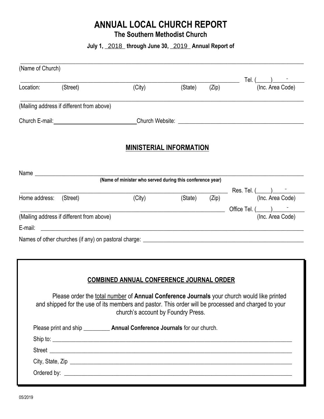# **ANNUAL LOCAL CHURCH REPORT**

**The Southern Methodist Church** 

July 1, 2018 through June 30, 2019 Annual Report of

| (Name of Church)       |                                           |                                                                                                                                                                                                                                         |                                |       |                                                                                                                                                                                                                                                                                                                                                                                                                                                                                                                                  |
|------------------------|-------------------------------------------|-----------------------------------------------------------------------------------------------------------------------------------------------------------------------------------------------------------------------------------------|--------------------------------|-------|----------------------------------------------------------------------------------------------------------------------------------------------------------------------------------------------------------------------------------------------------------------------------------------------------------------------------------------------------------------------------------------------------------------------------------------------------------------------------------------------------------------------------------|
| Location: (Street)     |                                           | (City)                                                                                                                                                                                                                                  | (State)                        | (Zip) | Tel. $\frac{)}{\frac{(\ln c. \text{Area Code})}{\frac{(\ln c. \text{Area Code})}{\frac{(\ln c. \text{Area Code})}{\frac{(\ln c. \text{Area Code})}{\frac{(\ln c. \text{Area Code})}{\frac{(\ln c. \text{Area Code})}{\frac{(\ln c. \text{Area Code})}{\frac{(\ln c. \text{Area Code})}{\frac{(\ln c. \text{Area Code})}{\frac{(\ln c. \text{Area fixedly of 2}}{\frac{(\ln c. \text{Area fixedly of 2}}{\frac{(\ln c. \text{Area fixedly of 2}}{\frac{(\ln c. \text{Area fixedly of 2}}{\frac{(\ln c. \text{Area fixedly of 2}}$ |
|                        | (Mailing address if different from above) |                                                                                                                                                                                                                                         |                                |       |                                                                                                                                                                                                                                                                                                                                                                                                                                                                                                                                  |
|                        |                                           |                                                                                                                                                                                                                                         |                                |       |                                                                                                                                                                                                                                                                                                                                                                                                                                                                                                                                  |
|                        |                                           |                                                                                                                                                                                                                                         | <b>MINISTERIAL INFORMATION</b> |       |                                                                                                                                                                                                                                                                                                                                                                                                                                                                                                                                  |
|                        | Name <u>__________________________</u>    | (Name of minister who served during this conference year)                                                                                                                                                                               |                                |       |                                                                                                                                                                                                                                                                                                                                                                                                                                                                                                                                  |
|                        |                                           |                                                                                                                                                                                                                                         |                                |       |                                                                                                                                                                                                                                                                                                                                                                                                                                                                                                                                  |
| Home address: (Street) |                                           | (City)                                                                                                                                                                                                                                  | (State)                        | (Zip) | $\frac{1}{(\text{Zip})}$ Res. Tel. $\frac{1}{(\text{Inc. Area Code})}$                                                                                                                                                                                                                                                                                                                                                                                                                                                           |
|                        |                                           | <u> 1989 - Johann John Stone, meil in der Stone (d. 1989)</u>                                                                                                                                                                           |                                |       | Office Tel. (_____)__________                                                                                                                                                                                                                                                                                                                                                                                                                                                                                                    |
|                        | (Mailing address if different from above) |                                                                                                                                                                                                                                         |                                |       | (Inc. Area Code)                                                                                                                                                                                                                                                                                                                                                                                                                                                                                                                 |
|                        |                                           |                                                                                                                                                                                                                                         |                                |       |                                                                                                                                                                                                                                                                                                                                                                                                                                                                                                                                  |
|                        |                                           |                                                                                                                                                                                                                                         |                                |       |                                                                                                                                                                                                                                                                                                                                                                                                                                                                                                                                  |
|                        |                                           |                                                                                                                                                                                                                                         |                                |       |                                                                                                                                                                                                                                                                                                                                                                                                                                                                                                                                  |
|                        |                                           |                                                                                                                                                                                                                                         |                                |       |                                                                                                                                                                                                                                                                                                                                                                                                                                                                                                                                  |
|                        |                                           | <b>COMBINED ANNUAL CONFERENCE JOURNAL ORDER</b>                                                                                                                                                                                         |                                |       |                                                                                                                                                                                                                                                                                                                                                                                                                                                                                                                                  |
|                        |                                           |                                                                                                                                                                                                                                         |                                |       |                                                                                                                                                                                                                                                                                                                                                                                                                                                                                                                                  |
|                        |                                           |                                                                                                                                                                                                                                         |                                |       |                                                                                                                                                                                                                                                                                                                                                                                                                                                                                                                                  |
|                        |                                           | Please order the total number of Annual Conference Journals your church would like printed<br>and shipped for the use of its members and pastor. This order will be processed and charged to your<br>church's account by Foundry Press. |                                |       |                                                                                                                                                                                                                                                                                                                                                                                                                                                                                                                                  |
|                        |                                           | Please print and ship ____________ Annual Conference Journals for our church.                                                                                                                                                           |                                |       |                                                                                                                                                                                                                                                                                                                                                                                                                                                                                                                                  |
|                        |                                           |                                                                                                                                                                                                                                         |                                |       |                                                                                                                                                                                                                                                                                                                                                                                                                                                                                                                                  |
|                        |                                           |                                                                                                                                                                                                                                         |                                |       |                                                                                                                                                                                                                                                                                                                                                                                                                                                                                                                                  |
|                        |                                           |                                                                                                                                                                                                                                         |                                |       |                                                                                                                                                                                                                                                                                                                                                                                                                                                                                                                                  |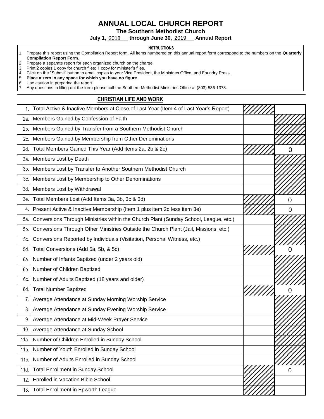## **ANNUAL LOCAL CHURCH REPORT**

**The Southern Methodist Church** 

**July 1, \_\_\_\_\_\_\_ through June 30, \_\_\_\_\_\_\_ Annual Report**  2018 2019

#### **INSTRUCTIONS**

- 1. Prepare this report using the Compilation Report form. All items numbered on this annual report form correspond to the numbers on the **Quarterly Compilation Report Form**.
- 2. Prepare a separate report for each organized church on the charge.
- 3. Print 2 copies;1 copy for church files; 1 copy for minister's files.

4. Click on the "Submit" button to email copies to your Vice President, the Ministries Office, and Foundry Press.<br>5. Place a zero in any space for which you have no figure.

5. **Place a zero in any space for which you have no figure**.

6. Use caution in preparing the report.

7. Any questions in filling out the form please call the Southern Methodist Ministries Office at (803) 536-1378.

#### **CHRISTIAN LIFE AND WORK**

| 1.     | Total Active & Inactive Members at Close of Last Year (Item 4 of Last Year's Report) |                |
|--------|--------------------------------------------------------------------------------------|----------------|
| 2a.    | Members Gained by Confession of Faith                                                |                |
| 2b.    | Members Gained by Transfer from a Southern Methodist Church                          |                |
| 2c.    | Members Gained by Membership from Other Denominations                                |                |
| 2d.    | Total Members Gained This Year (Add items 2a, 2b & 2c)                               | 0              |
| За.    | Members Lost by Death                                                                |                |
| $3b$ . | Members Lost by Transfer to Another Southern Methodist Church                        |                |
| Зc.    | Members Lost by Membership to Other Denominations                                    |                |
| 3d.    | Members Lost by Withdrawal                                                           |                |
| 3e.    | Total Members Lost (Add Items 3a, 3b, 3c & 3d)                                       | 0              |
| 4.     | Present Active & Inactive Membership (Item 1 plus item 2d less item 3e)              | O              |
| 5a.    | Conversions Through Ministries within the Church Plant (Sunday School, League, etc.) |                |
| 5b.    | Conversions Through Other Ministries Outside the Church Plant (Jail, Missions, etc.) |                |
| 5c.    | Conversions Reported by Individuals (Visitation, Personal Witness, etc.)             |                |
| 5d.    | Total Conversions (Add 5a, 5b, & 5c)                                                 |                |
| 6а.    | Number of Infants Baptized (under 2 years old)                                       |                |
| 6b.    | Number of Children Baptized                                                          |                |
| 6c.    | Number of Adults Baptized (18 years and older)                                       |                |
| 6d.    | <b>Total Number Baptized</b>                                                         | O              |
| 7.     | Average Attendance at Sunday Morning Worship Service                                 |                |
| 8.     | Average Attendance at Sunday Evening Worship Service                                 |                |
| 9.     | Average Attendance at Mid-Week Prayer Service                                        |                |
| 10.    | Average Attendance at Sunday School                                                  |                |
| 11a.   | Number of Children Enrolled in Sunday School                                         |                |
| 11b.   | Number of Youth Enrolled in Sunday School                                            |                |
| 11c.   | Number of Adults Enrolled in Sunday School                                           |                |
| 11d.   | <b>Total Enrollment in Sunday School</b>                                             | $\overline{0}$ |
| 12.    | Enrolled in Vacation Bible School                                                    |                |
| 13.    | <b>Total Enrollment in Epworth League</b>                                            |                |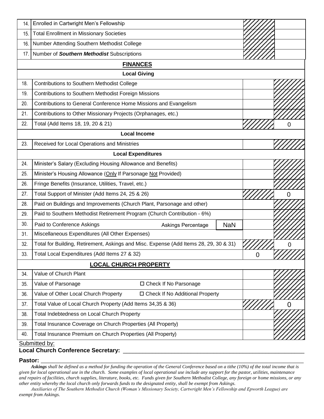| 14. | Enrolled in Cartwright Men's Fellowship                                               |            |   |                |
|-----|---------------------------------------------------------------------------------------|------------|---|----------------|
| 15. | <b>Total Enrollment in Missionary Societies</b>                                       |            |   |                |
| 16. | Number Attending Southern Methodist College                                           |            |   |                |
| 17. | Number of Southern Methodist Subscriptions                                            |            |   |                |
|     | <b>FINANCES</b>                                                                       |            |   |                |
|     | <b>Local Giving</b>                                                                   |            |   |                |
| 18. | Contributions to Southern Methodist College                                           |            |   |                |
| 19. | Contributions to Southern Methodist Foreign Missions                                  |            |   |                |
| 20. | Contributions to General Conference Home Missions and Evangelism                      |            |   |                |
| 21. | Contributions to Other Missionary Projects (Orphanages, etc.)                         |            |   |                |
| 22. | Total (Add Items 18, 19, 20 & 21)                                                     |            |   | ი              |
|     | <b>Local Income</b>                                                                   |            |   |                |
| 23. | Received for Local Operations and Ministries                                          |            |   |                |
|     | <b>Local Expenditures</b>                                                             |            |   |                |
| 24. | Minister's Salary (Excluding Housing Allowance and Benefits)                          |            |   |                |
| 25. | Minister's Housing Allowance (Only If Parsonage Not Provided)                         |            |   |                |
| 26. | Fringe Benefits (Insurance, Utilities, Travel, etc.)                                  |            |   |                |
| 27. | Total Support of Minister (Add Items 24, 25 & 26)                                     |            |   | 0              |
| 28. | Paid on Buildings and Improvements (Church Plant, Parsonage and other)                |            |   |                |
| 29. | Paid to Southern Methodist Retirement Program (Church Contribution - 6%)              |            |   |                |
| 30. | Paid to Conference Askings<br><b>Askings Percentage</b>                               | <b>NaN</b> |   |                |
| 31. | Miscellaneous Expenditures (All Other Expenses)                                       |            |   |                |
| 32. | Total for Building, Retirement, Askings and Misc. Expense (Add Items 28, 29, 30 & 31) |            |   |                |
| 33. | Total Local Expenditures (Add Items 27 & 32)                                          |            | v | <i>VIIIII.</i> |
|     | <b>LOCAL CHURCH PROPERTY</b>                                                          |            |   |                |
| 34. | Value of Church Plant                                                                 |            |   |                |
| 35. | Value of Parsonage<br>□ Check If No Parsonage                                         |            |   |                |
| 36. | Value of Other Local Church Property<br>□ Check If No Additional Property             |            |   |                |
| 37. | Total Value of Local Church Property (Add Items 34,35 & 36)                           |            |   | $\overline{0}$ |
| 38. | Total Indebtedness on Local Church Property                                           |            |   |                |
| 39. | Total Insurance Coverage on Church Properties (All Property)                          |            |   |                |
| 40. | Total Insurance Premium on Church Properties (All Property)                           |            |   |                |
|     | Submitted by:                                                                         |            |   |                |

#### **Local Church Conference Secretary:** \_\_\_\_\_\_\_\_\_\_\_\_\_\_\_\_\_\_\_\_\_\_\_\_\_\_\_\_\_\_\_\_\_\_\_\_\_\_\_\_\_\_\_\_\_\_\_\_\_\_\_\_\_\_\_\_

#### **Pastor: \_\_\_\_\_\_\_\_\_\_\_\_\_\_\_\_\_\_\_\_\_\_\_\_\_\_\_\_\_\_\_\_\_\_\_\_\_\_\_\_\_\_\_\_\_\_\_\_\_\_\_\_\_\_\_\_\_\_\_\_\_\_\_\_\_\_\_\_\_\_\_\_\_\_\_\_\_\_\_\_\_\_\_\_\_\_\_\_\_\_**

*Askings shall be defined as a method for funding the operation of the General Conference based on a tithe (10%) of the total income that is given for local operational use in the church. Some examples of local operational use include any support for the pastor, utilities, maintenance and repairs of facilities, church supplies, literature, books, etc. Funds given for Southern Methodist College, any foreign or home missions, or any other entity whereby the local church only forwards funds to the designated entity, shall be exempt from Askings.* 

 *Auxiliaries of The Southern Methodist Church (Woman's Missionary Society, Cartwright Men's Fellowship and Epworth League) are exempt from Askings*.